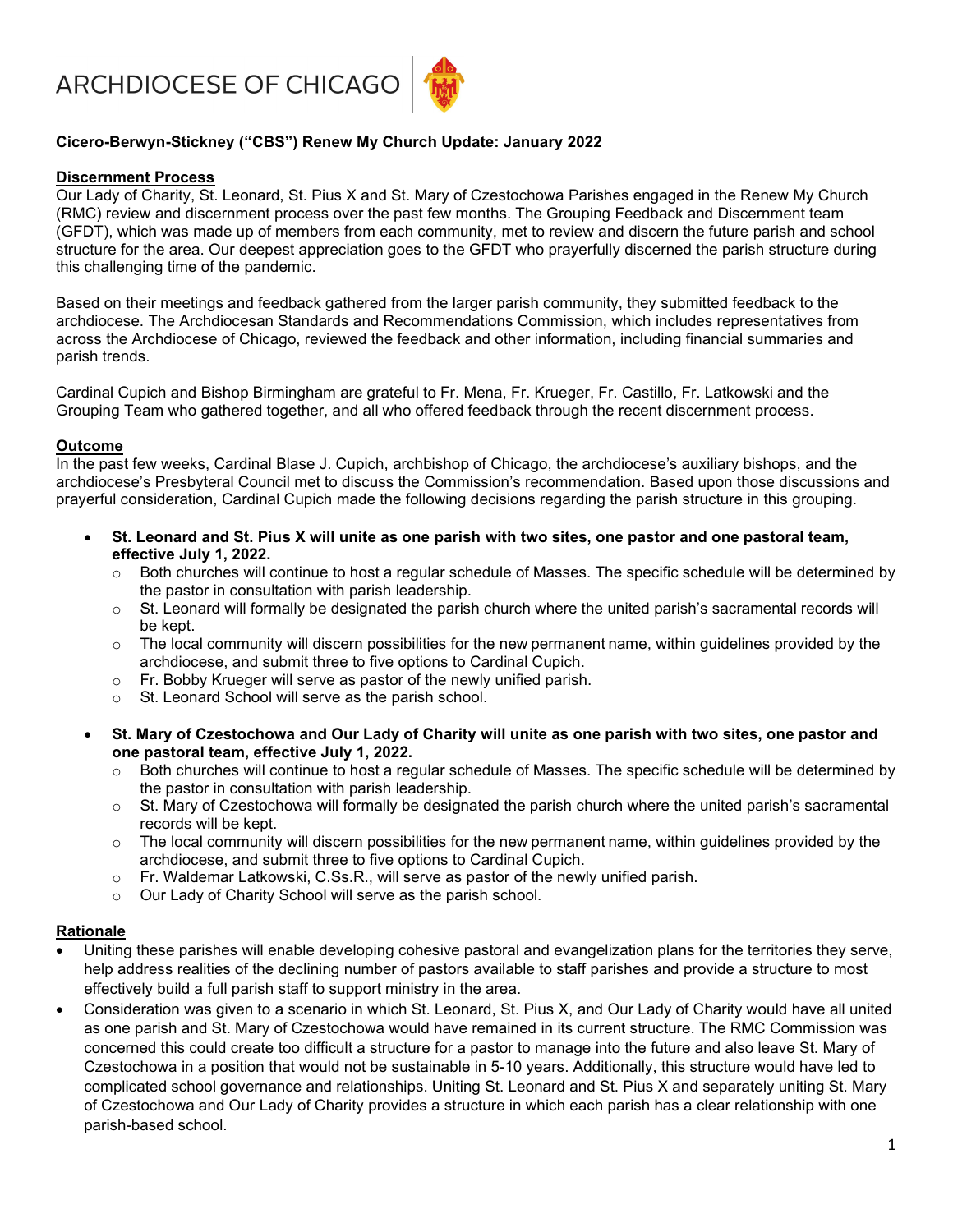ARCHDIOCESE OF CHICAGO



# Cicero-Berwyn-Stickney ("CBS") Renew My Church Update: January 2022

## Discernment Process

Our Lady of Charity, St. Leonard, St. Pius X and St. Mary of Czestochowa Parishes engaged in the Renew My Church (RMC) review and discernment process over the past few months. The Grouping Feedback and Discernment team (GFDT), which was made up of members from each community, met to review and discern the future parish and school structure for the area. Our deepest appreciation goes to the GFDT who prayerfully discerned the parish structure during this challenging time of the pandemic.

Based on their meetings and feedback gathered from the larger parish community, they submitted feedback to the archdiocese. The Archdiocesan Standards and Recommendations Commission, which includes representatives from across the Archdiocese of Chicago, reviewed the feedback and other information, including financial summaries and parish trends.

Cardinal Cupich and Bishop Birmingham are grateful to Fr. Mena, Fr. Krueger, Fr. Castillo, Fr. Latkowski and the Grouping Team who gathered together, and all who offered feedback through the recent discernment process.

## Outcome

In the past few weeks, Cardinal Blase J. Cupich, archbishop of Chicago, the archdiocese's auxiliary bishops, and the archdiocese's Presbyteral Council met to discuss the Commission's recommendation. Based upon those discussions and prayerful consideration, Cardinal Cupich made the following decisions regarding the parish structure in this grouping.

- St. Leonard and St. Pius X will unite as one parish with two sites, one pastor and one pastoral team, effective July 1, 2022.
	- Both churches will continue to host a regular schedule of Masses. The specific schedule will be determined by the pastor in consultation with parish leadership.
	- o St. Leonard will formally be designated the parish church where the united parish's sacramental records will be kept.
	- $\circ$  The local community will discern possibilities for the new permanent name, within quidelines provided by the archdiocese, and submit three to five options to Cardinal Cupich.
	- o Fr. Bobby Krueger will serve as pastor of the newly unified parish.
	- o St. Leonard School will serve as the parish school.
- St. Mary of Czestochowa and Our Lady of Charity will unite as one parish with two sites, one pastor and one pastoral team, effective July 1, 2022.
	- Both churches will continue to host a regular schedule of Masses. The specific schedule will be determined by the pastor in consultation with parish leadership.
	- $\circ$  St. Mary of Czestochowa will formally be designated the parish church where the united parish's sacramental records will be kept.
	- o The local community will discern possibilities for the new permanent name, within guidelines provided by the archdiocese, and submit three to five options to Cardinal Cupich.
	- $\circ$  Fr. Waldemar Latkowski, C.Ss.R., will serve as pastor of the newly unified parish.
	- o Our Lady of Charity School will serve as the parish school.

#### Rationale

- Uniting these parishes will enable developing cohesive pastoral and evangelization plans for the territories they serve, help address realities of the declining number of pastors available to staff parishes and provide a structure to most effectively build a full parish staff to support ministry in the area.
- Consideration was given to a scenario in which St. Leonard, St. Pius X, and Our Lady of Charity would have all united as one parish and St. Mary of Czestochowa would have remained in its current structure. The RMC Commission was concerned this could create too difficult a structure for a pastor to manage into the future and also leave St. Mary of Czestochowa in a position that would not be sustainable in 5-10 years. Additionally, this structure would have led to complicated school governance and relationships. Uniting St. Leonard and St. Pius X and separately uniting St. Mary of Czestochowa and Our Lady of Charity provides a structure in which each parish has a clear relationship with one parish-based school.